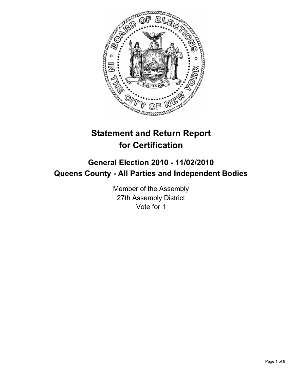

# **Statement and Return Report for Certification**

## **General Election 2010 - 11/02/2010 Queens County - All Parties and Independent Bodies**

Member of the Assembly 27th Assembly District Vote for 1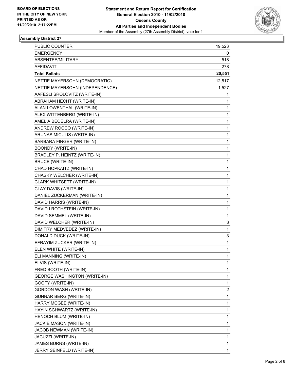

#### **Assembly District 27**

| PUBLIC COUNTER                      | 19,523 |
|-------------------------------------|--------|
| <b>EMERGENCY</b>                    | 0      |
| ABSENTEE/MILITARY                   | 518    |
| <b>AFFIDAVIT</b>                    | 278    |
| <b>Total Ballots</b>                | 20,551 |
| NETTIE MAYERSOHN (DEMOCRATIC)       | 12,517 |
| NETTIE MAYERSOHN (INDEPENDENCE)     | 1,527  |
| AAFESLI SROLOVITZ (WRITE-IN)        | 1      |
| ABRAHAM HECHT (WRITE-IN)            | 1      |
| ALAN LOWENTHAL (WRITE-IN)           | 1      |
| ALEX WITTENBERG (WRITE-IN)          | 1      |
| AMELIA BEOELRA (WRITE-IN)           | 1      |
| ANDREW ROCCO (WRITE-IN)             | 1      |
| ARUNAS MICULIS (WRITE-IN)           | 1      |
| BARBARA FINGER (WRITE-IN)           | 1      |
| <b>BOONDY (WRITE-IN)</b>            | 1      |
| BRADLEY P. HEINTZ (WRITE-IN)        | 1      |
| <b>BRUCE (WRITE-IN)</b>             | 1      |
| CHAD HOPKAITZ (WRITE-IN)            | 1      |
| CHASKY WELCHER (WRITE-IN)           | 1      |
| CLARK WHITSETT (WRITE-IN)           | 1      |
| CLAY DAVIS (WRITE-IN)               | 1      |
| DANIEL ZUCKERMAN (WRITE-IN)         | 1      |
| DAVID HARRIS (WRITE-IN)             | 1      |
| DAVID I ROTHSTEIN (WRITE-IN)        | 1      |
| DAVID SEMMEL (WRITE-IN)             | 1      |
| DAVID WELCHER (WRITE-IN)            | 3      |
| DIMITRY MEDVEDEZ (WRITE-IN)         | 1      |
| DONALD DUCK (WRITE-IN)              | 3      |
| EFRAYIM ZUCKER (WRITE-IN)           | 1      |
| ELEN WHITE (WRITE-IN)               | 1      |
| ELI MANNING (WRITE-IN)              | 1      |
| ELVIS (WRITE-IN)                    | 1      |
| FRED BOOTH (WRITE-IN)               | 1      |
| <b>GEORGE WASHINGTON (WRITE-IN)</b> | 1      |
| GOOFY (WRITE-IN)                    | 1      |
| <b>GORDON WASH (WRITE-IN)</b>       | 2      |
| GUNNAR BERG (WRITE-IN)              | 1      |
| HARRY MCGEE (WRITE-IN)              | 1      |
| HAYIN SCHWARTZ (WRITE-IN)           | 1      |
| HENOCH BLUM (WRITE-IN)              | 1      |
| JACKIE MASON (WRITE-IN)             | 1      |
| JACOB NEWMAN (WRITE-IN)             | 1      |
| JACUZZI (WRITE-IN)                  | 1      |
| JAMES BURNS (WRITE-IN)              | 1      |
| JERRY SEINFELD (WRITE-IN)           | 1      |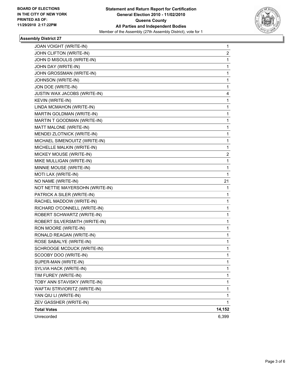

#### **Assembly District 27**

| JOAN VOIGHT (WRITE-IN)          | 1      |
|---------------------------------|--------|
| JOHN CLIFTON (WRITE-IN)         | 2      |
| JOHN D MISOULIS (WRITE-IN)      | 1      |
| JOHN DAY (WRITE-IN)             | 1      |
| JOHN GROSSMAN (WRITE-IN)        | 1      |
| JOHNSON (WRITE-IN)              | 1      |
| JON DOE (WRITE-IN)              | 1      |
| JUSTIN WAX JACOBS (WRITE-IN)    | 4      |
| <b>KEVIN (WRITE-IN)</b>         | 1      |
| LINDA MCMAHON (WRITE-IN)        | 1      |
| MARTIN GOLDMAN (WRITE-IN)       | 1      |
| MARTIN T GOODMAN (WRITE-IN)     | 1      |
| MATT MALONE (WRITE-IN)          | 1      |
| MENDEI ZLOTNICK (WRITE-IN)      | 1      |
| MICHAEL SIMENOUITZ (WRITE-IN)   | 1      |
| MICHELLE MALKIN (WRITE-IN)      | 1      |
| MICKEY MOUSE (WRITE-IN)         | 2      |
| MIKE MULLIGAN (WRITE-IN)        | 1      |
| MINNIE MOUSE (WRITE-IN)         | 1      |
| MOTI LAX (WRITE-IN)             | 1      |
| NO NAME (WRITE-IN)              | 21     |
| NOT NETTIE MAYERSOHN (WRITE-IN) | 1      |
| PATRICK A SILER (WRITE-IN)      | 1      |
| RACHEL MADDOW (WRITE-IN)        | 1      |
| RICHARD O'CONNELL (WRITE-IN)    | 1      |
| ROBERT SCHWARTZ (WRITE-IN)      | 1      |
| ROBERT SILVERSMITH (WRITE-IN)   | 1      |
| RON MOORE (WRITE-IN)            | 1      |
| RONALD REAGAN (WRITE-IN)        | 1      |
| ROSE SABALYE (WRITE-IN)         | 1      |
| SCHROOGE MCDUCK (WRITE-IN)      | 1      |
| SCOOBY DOO (WRITE-IN)           | 1      |
| SUPER-MAN (WRITE-IN)            | 1      |
| SYLVIA HACK (WRITE-IN)          | 1      |
| TIM FUREY (WRITE-IN)            | 1      |
| TOBY ANN STAVISKY (WRITE-IN)    | 1      |
| WAFTAI STRVIORITZ (WRITE-IN)    | 1      |
| YAN QIU LI (WRITE-IN)           | 1      |
| ZEV GASSHER (WRITE-IN)          | 1      |
| <b>Total Votes</b>              | 14,152 |
| Unrecorded                      | 6,399  |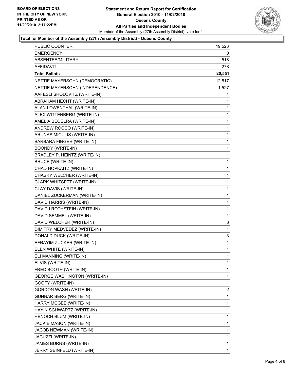

#### **Total for Member of the Assembly (27th Assembly District) - Queens County**

| PUBLIC COUNTER                      | 19,523       |
|-------------------------------------|--------------|
| <b>EMERGENCY</b>                    | 0            |
| ABSENTEE/MILITARY                   | 518          |
| AFFIDAVIT                           | 278          |
| <b>Total Ballots</b>                | 20,551       |
| NETTIE MAYERSOHN (DEMOCRATIC)       | 12,517       |
| NETTIE MAYERSOHN (INDEPENDENCE)     | 1,527        |
| AAFESLI SROLOVITZ (WRITE-IN)        | 1            |
| ABRAHAM HECHT (WRITE-IN)            | 1            |
| ALAN LOWENTHAL (WRITE-IN)           | 1            |
| ALEX WITTENBERG (WRITE-IN)          | 1            |
| AMELIA BEOELRA (WRITE-IN)           | 1            |
| ANDREW ROCCO (WRITE-IN)             | $\mathbf{1}$ |
| ARUNAS MICULIS (WRITE-IN)           | 1            |
| BARBARA FINGER (WRITE-IN)           | 1            |
| <b>BOONDY (WRITE-IN)</b>            | 1            |
| BRADLEY P. HEINTZ (WRITE-IN)        | 1            |
| <b>BRUCE (WRITE-IN)</b>             | 1            |
| CHAD HOPKAITZ (WRITE-IN)            | $\mathbf{1}$ |
| CHASKY WELCHER (WRITE-IN)           | 1            |
| CLARK WHITSETT (WRITE-IN)           | 1            |
| CLAY DAVIS (WRITE-IN)               | 1            |
| DANIEL ZUCKERMAN (WRITE-IN)         | 1            |
| DAVID HARRIS (WRITE-IN)             | 1            |
| DAVID I ROTHSTEIN (WRITE-IN)        | $\mathbf{1}$ |
| DAVID SEMMEL (WRITE-IN)             | 1            |
| DAVID WELCHER (WRITE-IN)            | 3            |
| DIMITRY MEDVEDEZ (WRITE-IN)         | 1            |
| DONALD DUCK (WRITE-IN)              | 3            |
| EFRAYIM ZUCKER (WRITE-IN)           | 1            |
| ELEN WHITE (WRITE-IN)               | $\mathbf{1}$ |
| ELI MANNING (WRITE-IN)              | 1            |
| ELVIS (WRITE-IN)                    | 1            |
| FRED BOOTH (WRITE-IN)               | 1            |
| <b>GEORGE WASHINGTON (WRITE-IN)</b> | 1            |
| GOOFY (WRITE-IN)                    | 1            |
| GORDON WASH (WRITE-IN)              | 2            |
| GUNNAR BERG (WRITE-IN)              | 1            |
| HARRY MCGEE (WRITE-IN)              | 1            |
| HAYIN SCHWARTZ (WRITE-IN)           | 1            |
| HENOCH BLUM (WRITE-IN)              | 1            |
| JACKIE MASON (WRITE-IN)             | 1            |
| JACOB NEWMAN (WRITE-IN)             | 1            |
| JACUZZI (WRITE-IN)                  | 1            |
| JAMES BURNS (WRITE-IN)              | 1            |
| JERRY SEINFELD (WRITE-IN)           | 1            |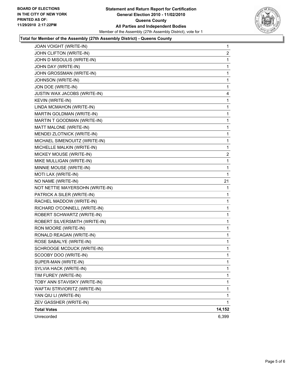

#### **Total for Member of the Assembly (27th Assembly District) - Queens County**

| JOAN VOIGHT (WRITE-IN)          | 1            |
|---------------------------------|--------------|
| JOHN CLIFTON (WRITE-IN)         | 2            |
| JOHN D MISOULIS (WRITE-IN)      | 1            |
| JOHN DAY (WRITE-IN)             | 1            |
| JOHN GROSSMAN (WRITE-IN)        | 1            |
| JOHNSON (WRITE-IN)              | 1            |
| JON DOE (WRITE-IN)              | 1            |
| JUSTIN WAX JACOBS (WRITE-IN)    | 4            |
| <b>KEVIN (WRITE-IN)</b>         | 1            |
| LINDA MCMAHON (WRITE-IN)        | 1            |
| MARTIN GOLDMAN (WRITE-IN)       | 1            |
| MARTIN T GOODMAN (WRITE-IN)     | 1            |
| MATT MALONE (WRITE-IN)          | 1            |
| MENDEI ZLOTNICK (WRITE-IN)      | 1            |
| MICHAEL SIMENOUITZ (WRITE-IN)   | 1            |
| MICHELLE MALKIN (WRITE-IN)      | 1            |
| MICKEY MOUSE (WRITE-IN)         | 2            |
| MIKE MULLIGAN (WRITE-IN)        | 1            |
| MINNIE MOUSE (WRITE-IN)         | 1            |
| MOTI LAX (WRITE-IN)             | 1            |
| NO NAME (WRITE-IN)              | 21           |
| NOT NETTIE MAYERSOHN (WRITE-IN) | 1            |
| PATRICK A SILER (WRITE-IN)      | 1            |
| RACHEL MADDOW (WRITE-IN)        | 1            |
| RICHARD O'CONNELL (WRITE-IN)    | 1            |
| ROBERT SCHWARTZ (WRITE-IN)      | 1            |
| ROBERT SILVERSMITH (WRITE-IN)   | 1            |
| RON MOORE (WRITE-IN)            | 1            |
| RONALD REAGAN (WRITE-IN)        | 1            |
| ROSE SABALYE (WRITE-IN)         | 1            |
| SCHROOGE MCDUCK (WRITE-IN)      | 1            |
| SCOOBY DOO (WRITE-IN)           | 1            |
| SUPER-MAN (WRITE-IN)            | 1            |
| SYLVIA HACK (WRITE-IN)          | 1            |
| TIM FUREY (WRITE-IN)            | 1            |
| TOBY ANN STAVISKY (WRITE-IN)    | 1            |
| WAFTAI STRVIORITZ (WRITE-IN)    | 1            |
| YAN QIU LI (WRITE-IN)           | 1            |
| ZEV GASSHER (WRITE-IN)          | $\mathbf{1}$ |
| <b>Total Votes</b>              | 14,152       |
| Unrecorded                      | 6,399        |